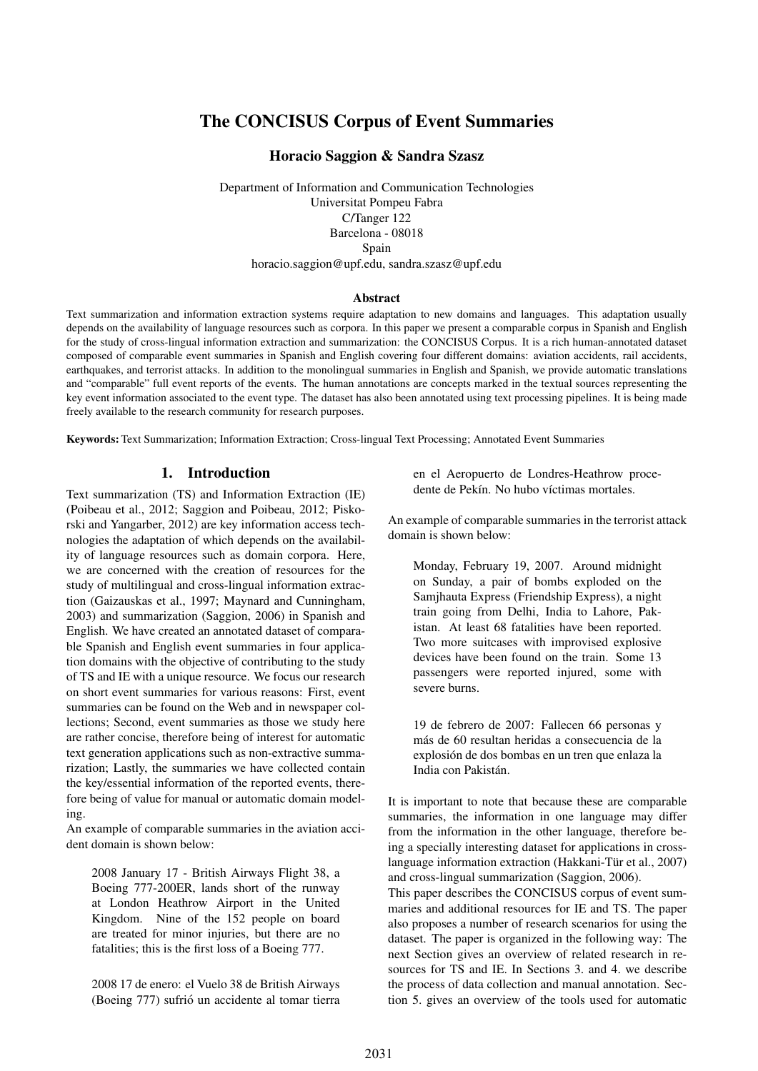# The CONCISUS Corpus of Event Summaries

### Horacio Saggion & Sandra Szasz

Department of Information and Communication Technologies Universitat Pompeu Fabra C/Tanger 122 Barcelona - 08018 Spain horacio.saggion@upf.edu, sandra.szasz@upf.edu

### Abstract

Text summarization and information extraction systems require adaptation to new domains and languages. This adaptation usually depends on the availability of language resources such as corpora. In this paper we present a comparable corpus in Spanish and English for the study of cross-lingual information extraction and summarization: the CONCISUS Corpus. It is a rich human-annotated dataset composed of comparable event summaries in Spanish and English covering four different domains: aviation accidents, rail accidents, earthquakes, and terrorist attacks. In addition to the monolingual summaries in English and Spanish, we provide automatic translations and "comparable" full event reports of the events. The human annotations are concepts marked in the textual sources representing the key event information associated to the event type. The dataset has also been annotated using text processing pipelines. It is being made freely available to the research community for research purposes.

Keywords: Text Summarization; Information Extraction; Cross-lingual Text Processing; Annotated Event Summaries

### 1. Introduction

Text summarization (TS) and Information Extraction (IE) (Poibeau et al., 2012; Saggion and Poibeau, 2012; Piskorski and Yangarber, 2012) are key information access technologies the adaptation of which depends on the availability of language resources such as domain corpora. Here, we are concerned with the creation of resources for the study of multilingual and cross-lingual information extraction (Gaizauskas et al., 1997; Maynard and Cunningham, 2003) and summarization (Saggion, 2006) in Spanish and English. We have created an annotated dataset of comparable Spanish and English event summaries in four application domains with the objective of contributing to the study of TS and IE with a unique resource. We focus our research on short event summaries for various reasons: First, event summaries can be found on the Web and in newspaper collections; Second, event summaries as those we study here are rather concise, therefore being of interest for automatic text generation applications such as non-extractive summarization; Lastly, the summaries we have collected contain the key/essential information of the reported events, therefore being of value for manual or automatic domain modeling.

An example of comparable summaries in the aviation accident domain is shown below:

2008 January 17 - British Airways Flight 38, a Boeing 777-200ER, lands short of the runway at London Heathrow Airport in the United Kingdom. Nine of the 152 people on board are treated for minor injuries, but there are no fatalities; this is the first loss of a Boeing 777.

2008 17 de enero: el Vuelo 38 de British Airways (Boeing 777) sufrió un accidente al tomar tierra

en el Aeropuerto de Londres-Heathrow procedente de Pekín. No hubo víctimas mortales.

An example of comparable summaries in the terrorist attack domain is shown below:

Monday, February 19, 2007. Around midnight on Sunday, a pair of bombs exploded on the Samjhauta Express (Friendship Express), a night train going from Delhi, India to Lahore, Pakistan. At least 68 fatalities have been reported. Two more suitcases with improvised explosive devices have been found on the train. Some 13 passengers were reported injured, some with severe burns.

19 de febrero de 2007: Fallecen 66 personas y más de 60 resultan heridas a consecuencia de la explosion de dos bombas en un tren que enlaza la ´ India con Pakistán.

It is important to note that because these are comparable summaries, the information in one language may differ from the information in the other language, therefore being a specially interesting dataset for applications in crosslanguage information extraction (Hakkani-Tür et al., 2007) and cross-lingual summarization (Saggion, 2006). This paper describes the CONCISUS corpus of event summaries and additional resources for IE and TS. The paper also proposes a number of research scenarios for using the dataset. The paper is organized in the following way: The next Section gives an overview of related research in resources for TS and IE. In Sections 3. and 4. we describe the process of data collection and manual annotation. Section 5. gives an overview of the tools used for automatic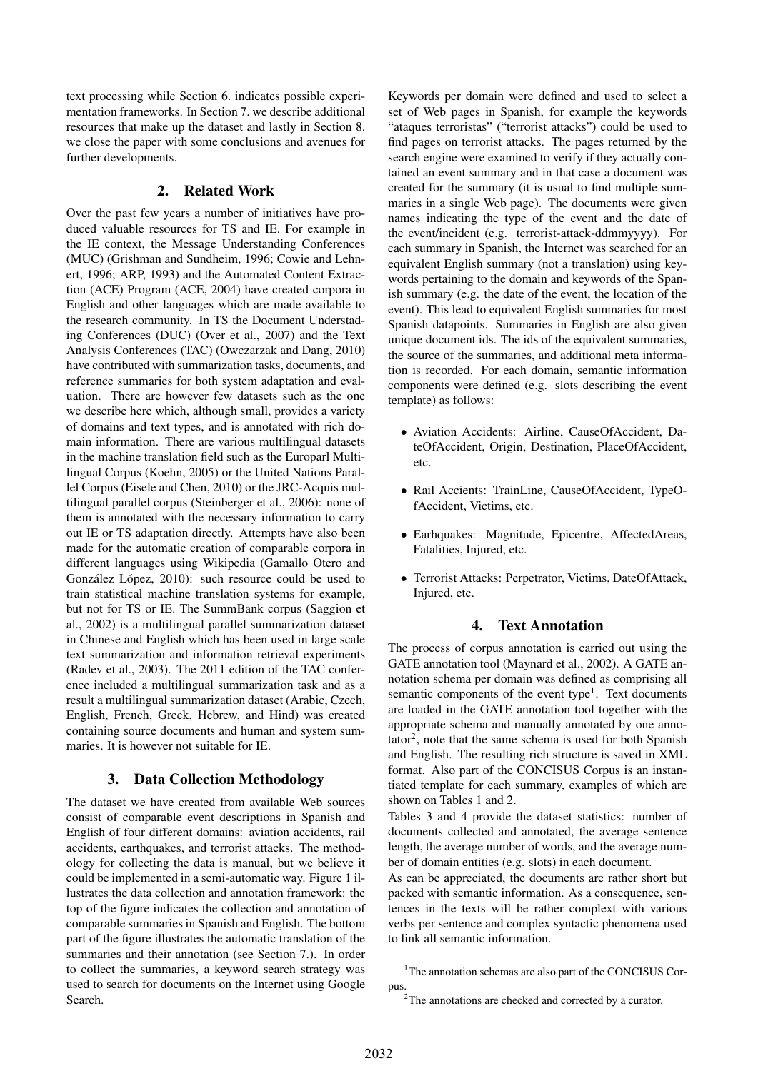text processing while Section 6. indicates possible experimentation frameworks. In Section 7. we describe additional resources that make up the dataset and lastly in Section 8. we close the paper with some conclusions and avenues for further developments.

#### 2. Related Work

Over the past few years a number of initiatives have produced valuable resources for TS and IE. For example in the IE context, the Message Understanding Conferences (MUC) (Grishman and Sundheim, 1996; Cowie and Lehnert, 1996; ARP, 1993) and the Automated Content Extraction (ACE) Program (ACE, 2004) have created corpora in English and other languages which are made available to the research community. In TS the Document Understading Conferences (DUC) (Over et al., 2007) and the Text Analysis Conferences (TAC) (Owczarzak and Dang, 2010) have contributed with summarization tasks, documents, and reference summaries for both system adaptation and evaluation. There are however few datasets such as the one we describe here which, although small, provides a variety of domains and text types, and is annotated with rich domain information. There are various multilingual datasets in the machine translation field such as the Europarl Multilingual Corpus (Koehn, 2005) or the United Nations Parallel Corpus (Eisele and Chen, 2010) or the JRC-Acquis multilingual parallel corpus (Steinberger et al., 2006): none of them is annotated with the necessary information to carry out IE or TS adaptation directly. Attempts have also been made for the automatic creation of comparable corpora in different languages using Wikipedia (Gamallo Otero and González López, 2010): such resource could be used to train statistical machine translation systems for example, but not for TS or IE. The SummBank corpus (Saggion et al., 2002) is a multilingual parallel summarization dataset in Chinese and English which has been used in large scale text summarization and information retrieval experiments (Radev et al., 2003). The 2011 edition of the TAC conference included a multilingual summarization task and as a result a multilingual summarization dataset (Arabic, Czech, English, French, Greek, Hebrew, and Hind) was created containing source documents and human and system summaries. It is however not suitable for IE.

### 3. Data Collection Methodology

The dataset we have created from available Web sources consist of comparable event descriptions in Spanish and English of four different domains: aviation accidents, rail accidents, earthquakes, and terrorist attacks. The methodology for collecting the data is manual, but we believe it could be implemented in a semi-automatic way. Figure 1 illustrates the data collection and annotation framework: the top of the figure indicates the collection and annotation of comparable summaries in Spanish and English. The bottom part of the figure illustrates the automatic translation of the summaries and their annotation (see Section 7.). In order to collect the summaries, a keyword search strategy was used to search for documents on the Internet using Google Search.

Keywords per domain were defined and used to select a set of Web pages in Spanish, for example the keywords "ataques terroristas" ("terrorist attacks") could be used to find pages on terrorist attacks. The pages returned by the search engine were examined to verify if they actually contained an event summary and in that case a document was created for the summary (it is usual to find multiple summaries in a single Web page). The documents were given names indicating the type of the event and the date of the event/incident (e.g. terrorist-attack-ddmmyyyy). For each summary in Spanish, the Internet was searched for an equivalent English summary (not a translation) using keywords pertaining to the domain and keywords of the Spanish summary (e.g. the date of the event, the location of the event). This lead to equivalent English summaries for most Spanish datapoints. Summaries in English are also given unique document ids. The ids of the equivalent summaries, the source of the summaries, and additional meta information is recorded. For each domain, semantic information components were defined (e.g. slots describing the event template) as follows:

- Aviation Accidents: Airline, CauseOfAccident, DateOfAccident, Origin, Destination, PlaceOfAccident, etc.
- Rail Accients: TrainLine, CauseOfAccident, TypeOfAccident, Victims, etc.
- Earhquakes: Magnitude, Epicentre, AffectedAreas, Fatalities, Injured, etc.
- Terrorist Attacks: Perpetrator, Victims, DateOfAttack, Injured, etc.

### 4. Text Annotation

The process of corpus annotation is carried out using the GATE annotation tool (Maynard et al., 2002). A GATE annotation schema per domain was defined as comprising all semantic components of the event type<sup>1</sup>. Text documents are loaded in the GATE annotation tool together with the appropriate schema and manually annotated by one anno- $\text{tator}^2$ , note that the same schema is used for both Spanish and English. The resulting rich structure is saved in XML format. Also part of the CONCISUS Corpus is an instantiated template for each summary, examples of which are shown on Tables 1 and 2.

Tables 3 and 4 provide the dataset statistics: number of documents collected and annotated, the average sentence length, the average number of words, and the average number of domain entities (e.g. slots) in each document.

As can be appreciated, the documents are rather short but packed with semantic information. As a consequence, sentences in the texts will be rather complext with various verbs per sentence and complex syntactic phenomena used to link all semantic information.

<sup>&</sup>lt;sup>1</sup>The annotation schemas are also part of the CONCISUS Corpus.

<sup>2</sup>The annotations are checked and corrected by a curator.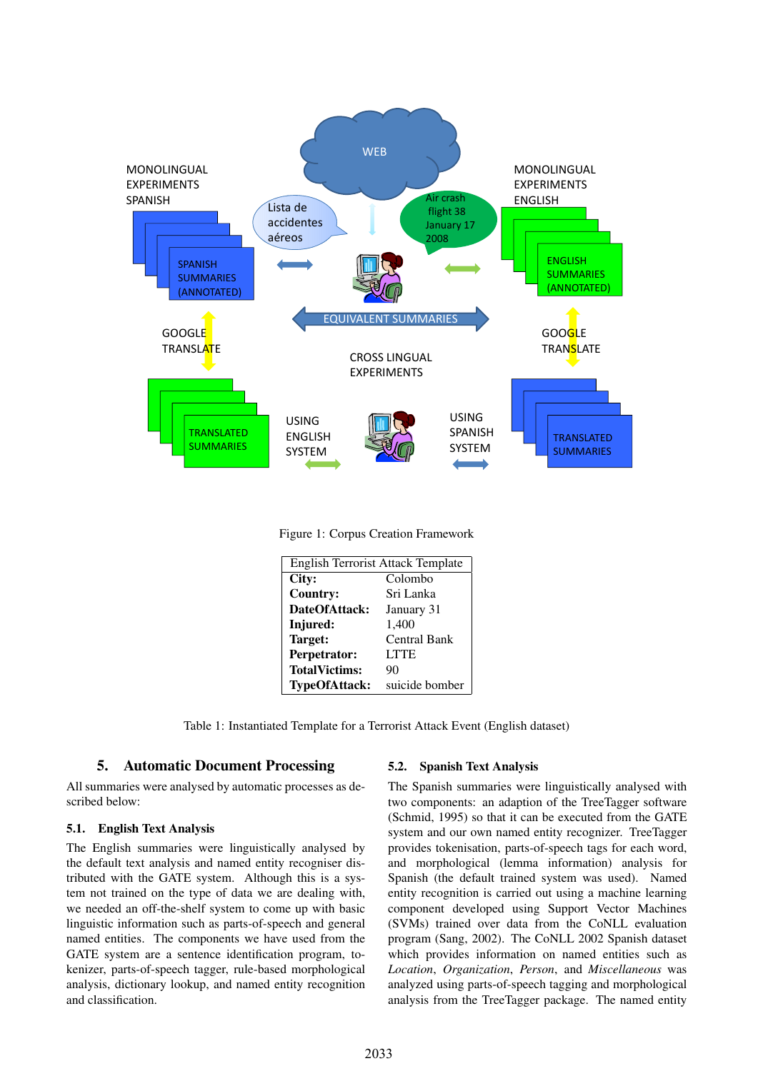

Figure 1: Corpus Creation Framework

| <b>English Terrorist Attack Template</b> |                |  |  |
|------------------------------------------|----------------|--|--|
| City:<br>Colombo                         |                |  |  |
| <b>Country:</b>                          | Sri Lanka      |  |  |
| DateOfAttack:                            | January 31     |  |  |
| Injured:                                 | 1,400          |  |  |
| Target:                                  | Central Bank   |  |  |
| Perpetrator:                             | <b>LTTE</b>    |  |  |
| <b>TotalVictims:</b>                     | 90             |  |  |
| <b>TypeOfAttack:</b>                     | suicide bomber |  |  |

Table 1: Instantiated Template for a Terrorist Attack Event (English dataset)

### 5. Automatic Document Processing

All summaries were analysed by automatic processes as described below:

### 5.1. English Text Analysis

The English summaries were linguistically analysed by the default text analysis and named entity recogniser distributed with the GATE system. Although this is a system not trained on the type of data we are dealing with, we needed an off-the-shelf system to come up with basic linguistic information such as parts-of-speech and general named entities. The components we have used from the GATE system are a sentence identification program, tokenizer, parts-of-speech tagger, rule-based morphological analysis, dictionary lookup, and named entity recognition and classification.

### 5.2. Spanish Text Analysis

The Spanish summaries were linguistically analysed with two components: an adaption of the TreeTagger software (Schmid, 1995) so that it can be executed from the GATE system and our own named entity recognizer. TreeTagger provides tokenisation, parts-of-speech tags for each word, and morphological (lemma information) analysis for Spanish (the default trained system was used). Named entity recognition is carried out using a machine learning component developed using Support Vector Machines (SVMs) trained over data from the CoNLL evaluation program (Sang, 2002). The CoNLL 2002 Spanish dataset which provides information on named entities such as *Location*, *Organization*, *Person*, and *Miscellaneous* was analyzed using parts-of-speech tagging and morphological analysis from the TreeTagger package. The named entity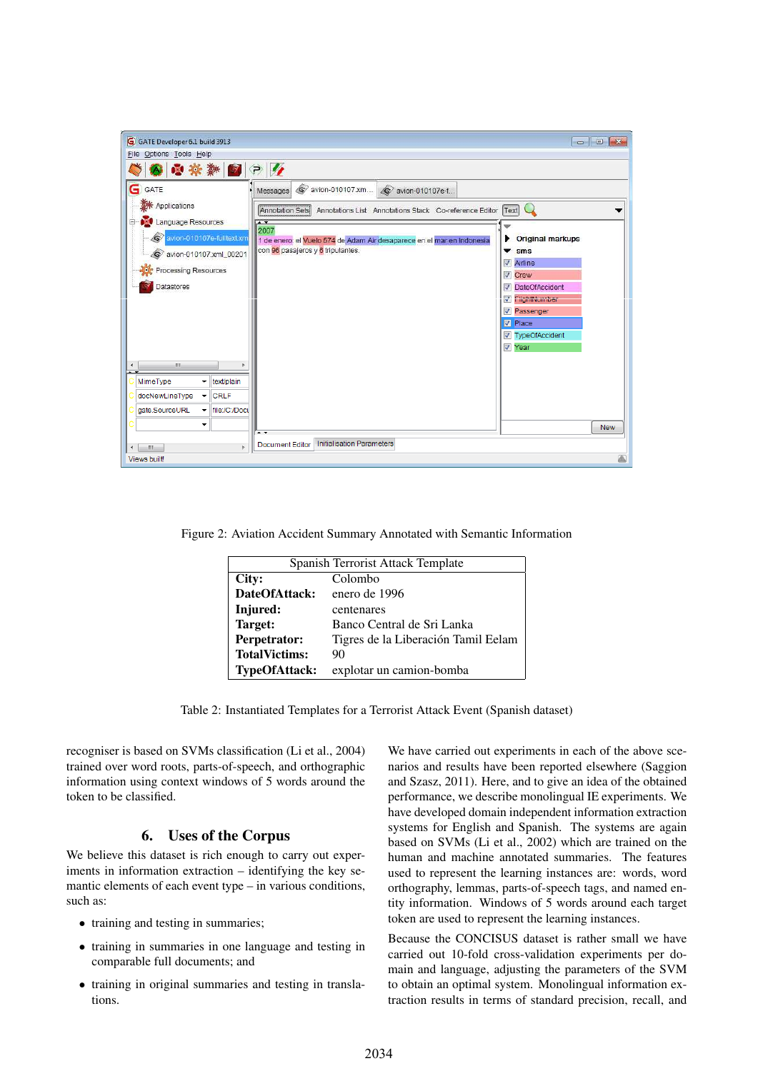| G GATE Developer 6.1 build 3913<br>Eile Options Tools Help                                                                                                        | $\begin{array}{c c c c c} \hline \multicolumn{1}{c }{\mathbf{C}} & \multicolumn{1}{c }{\mathbf{C}} & \multicolumn{1}{c }{\mathbf{X}} \\\hline \multicolumn{1}{c }{\mathbf{C}} & \multicolumn{1}{c }{\mathbf{C}} & \multicolumn{1}{c }{\mathbf{S}} \end{array}$                                                                                                                                                                                                                                                |
|-------------------------------------------------------------------------------------------------------------------------------------------------------------------|---------------------------------------------------------------------------------------------------------------------------------------------------------------------------------------------------------------------------------------------------------------------------------------------------------------------------------------------------------------------------------------------------------------------------------------------------------------------------------------------------------------|
| 99 幸耕 2 7 7                                                                                                                                                       |                                                                                                                                                                                                                                                                                                                                                                                                                                                                                                               |
| G<br>GATE<br>Applications<br><b>AM</b> Language Resources<br>Θ<br>wion-010107e-fulltext.xm<br>S avion-010107.xml_00201<br>Processing Resources<br>Datastores      | @ avion-010107.xm<br>S avion-010107e-f<br>Messages<br>Annotation Sets<br>Annotations List Annotations Stack Co-reference Editor Text<br>$\overline{1}$<br>2007<br><b>Original markups</b><br>▸<br>1 de enero: el Vuelo 574 de Adam Air desaparece en el mar en Indonesia<br>con 96 pasajeros y 6 tripulantes.<br>▼<br>sms<br>Ø<br>Airline<br>$\overline{\mathcal{L}}$<br>Crew<br><b>DateOfAccident</b><br>V<br>FlightNumber<br>V<br><b>V</b> Passenger<br><b>V</b> Place<br><b>V</b> TypeOfAccident<br>V Year |
| $\mathbf{H}$<br>$\blacktriangleleft$<br>MimeType<br>text/plain<br>۰<br>docNewLineType<br><b>CRLF</b><br>۰<br>file:/C:/Docu<br>gate.SourceURL<br>۰<br>٠<br>ш<br>þ. | <b>New</b><br>$\overline{\phantom{a}}$<br><b>Initialisation Parameters</b><br><b>Document Editor</b>                                                                                                                                                                                                                                                                                                                                                                                                          |
| <b>Views built!</b>                                                                                                                                               |                                                                                                                                                                                                                                                                                                                                                                                                                                                                                                               |

Figure 2: Aviation Accident Summary Annotated with Semantic Information

| Spanish Terrorist Attack Template |                                     |  |  |
|-----------------------------------|-------------------------------------|--|--|
| City:                             | Colombo                             |  |  |
| DateOfAttack:                     | enero de 1996                       |  |  |
| Injured:                          | centenares                          |  |  |
| Target:                           | Banco Central de Sri Lanka          |  |  |
| Perpetrator:                      | Tigres de la Liberación Tamil Eelam |  |  |
| <b>TotalVictims:</b>              | 90                                  |  |  |
| <b>TypeOfAttack:</b>              | explotar un camion-bomba            |  |  |

Table 2: Instantiated Templates for a Terrorist Attack Event (Spanish dataset)

recogniser is based on SVMs classification (Li et al., 2004) trained over word roots, parts-of-speech, and orthographic information using context windows of 5 words around the token to be classified.

### 6. Uses of the Corpus

We believe this dataset is rich enough to carry out experiments in information extraction – identifying the key semantic elements of each event type – in various conditions, such as:

- training and testing in summaries;
- training in summaries in one language and testing in comparable full documents; and
- training in original summaries and testing in translations.

We have carried out experiments in each of the above scenarios and results have been reported elsewhere (Saggion and Szasz, 2011). Here, and to give an idea of the obtained performance, we describe monolingual IE experiments. We have developed domain independent information extraction systems for English and Spanish. The systems are again based on SVMs (Li et al., 2002) which are trained on the human and machine annotated summaries. The features used to represent the learning instances are: words, word orthography, lemmas, parts-of-speech tags, and named entity information. Windows of 5 words around each target token are used to represent the learning instances.

Because the CONCISUS dataset is rather small we have carried out 10-fold cross-validation experiments per domain and language, adjusting the parameters of the SVM to obtain an optimal system. Monolingual information extraction results in terms of standard precision, recall, and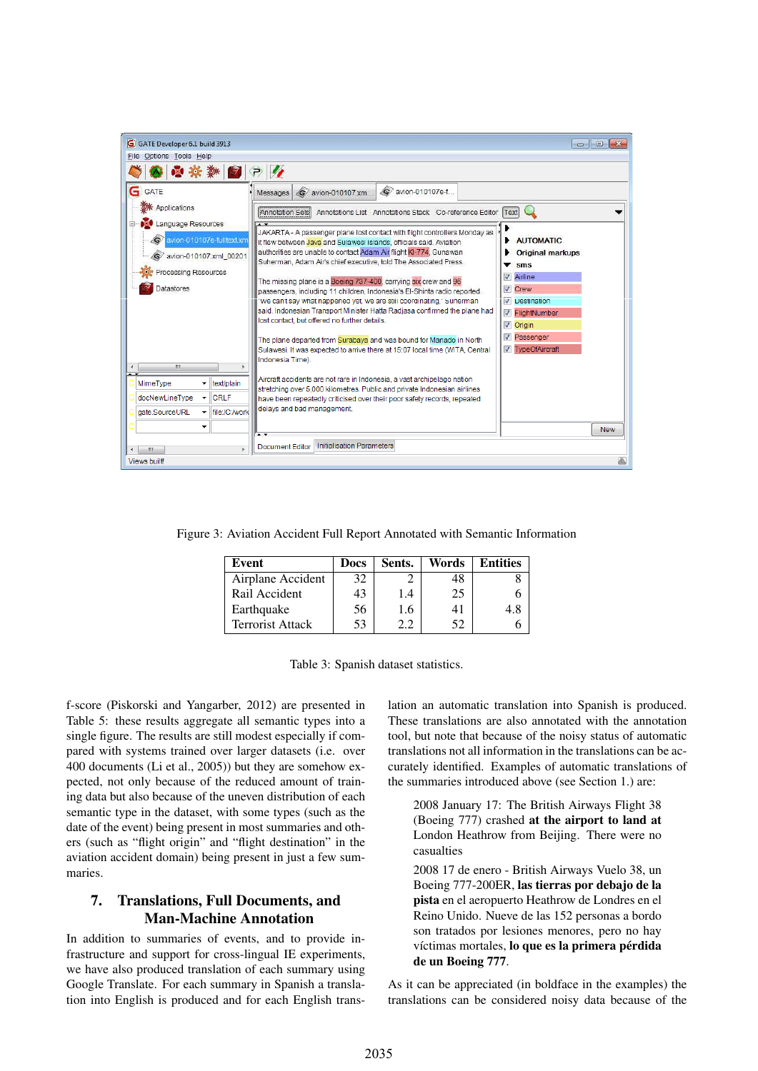| G GATE Developer 6.1 build 3913                                                                                                                           | $\Box$ $\Box$ X                                                                                                                                                                                                                                                                                                                                                                                                                                                                                                                                                                                                                                                                                                                                                                                                                                                                                                                       |
|-----------------------------------------------------------------------------------------------------------------------------------------------------------|---------------------------------------------------------------------------------------------------------------------------------------------------------------------------------------------------------------------------------------------------------------------------------------------------------------------------------------------------------------------------------------------------------------------------------------------------------------------------------------------------------------------------------------------------------------------------------------------------------------------------------------------------------------------------------------------------------------------------------------------------------------------------------------------------------------------------------------------------------------------------------------------------------------------------------------|
| Eile Options Tools Help                                                                                                                                   |                                                                                                                                                                                                                                                                                                                                                                                                                                                                                                                                                                                                                                                                                                                                                                                                                                                                                                                                       |
| ■ ? り<br><b>BO</b> - Die                                                                                                                                  |                                                                                                                                                                                                                                                                                                                                                                                                                                                                                                                                                                                                                                                                                                                                                                                                                                                                                                                                       |
| GATE<br><b>XX</b> Applications<br><b>Language Resources</b><br>wion-010107e-fulltext.xm<br>o avion-010107.xml 00201<br>Processing Resources<br>Datastores | S avion-010107e-f<br>S avion-010107.xm<br>Messages<br>Annotation Sets<br>Annotations List Annotations Stack Co-reference Editor Text<br>JAKARTA - A passenger plane lost contact with flight controllers Monday as<br><b>AUTOMATIC</b><br>▶<br>it flew between Java and Sulawesi islands, officials said. Aviation<br>authorities are unable to contact Adam Air flight KI-774, Gunawan<br><b>Original markups</b><br>Suherman, Adam Air's chief executive, told The Associated Press.<br>sms<br>▼<br>Airline<br>$\overline{\mathcal{A}}$<br>The missing plane is a Boeing 737-400, carrying six crew and 96<br><b>V</b> Crew<br>passengers, including 11 children, Indonesia's El-Shinta radio reported.<br>"We can't say what happened yet, we are still coordinating," Suherman<br>V<br><b>Destination</b><br>said, Indonesian Transport Minister Hatta Radjasa confirmed the plane had<br>FlightNumber<br>$\overline{\mathsf{v}}$ |
| m.<br>∢<br>MimeType<br>text/plain<br>۰.<br>docNewLineType<br><b>CRLF</b><br>file:/C:/work<br>gate.SourceURL<br>$\overline{\phantom{a}}$<br>▼              | lost contact, but offered no further details.<br>$\nabla$ Origin<br><b>V</b> Passenger<br>The plane departed from Surabaya and was bound for Manado in North<br><b>V</b> TypeOfAircraft<br>Sulawesi. It was expected to arrive there at 15:07 local time (WITA, Central<br>Indonesia Time).<br>Aircraft accidents are not rare in Indonesia, a vast archipelago nation<br>stretching over 5,000 kilometres. Public and private Indonesian airlines<br>have been repeatedly criticised over their poor safety records, repeated<br>delays and bad management.<br><b>New</b><br>Initialisation Parameters<br><b>Document Editor</b>                                                                                                                                                                                                                                                                                                     |
| m.<br>$\blacktriangleleft$                                                                                                                                |                                                                                                                                                                                                                                                                                                                                                                                                                                                                                                                                                                                                                                                                                                                                                                                                                                                                                                                                       |
| Views built!                                                                                                                                              |                                                                                                                                                                                                                                                                                                                                                                                                                                                                                                                                                                                                                                                                                                                                                                                                                                                                                                                                       |

Figure 3: Aviation Accident Full Report Annotated with Semantic Information

| Event                   | <b>Docs</b> | Sents. | Words | <b>Entities</b> |
|-------------------------|-------------|--------|-------|-----------------|
| Airplane Accident       | 32          |        |       |                 |
| Rail Accident           | 43          | 1.4    | 25    |                 |
| Earthquake              | 56          | 1.6    |       |                 |
| <b>Terrorist Attack</b> | 53          |        | 52    |                 |



f-score (Piskorski and Yangarber, 2012) are presented in Table 5: these results aggregate all semantic types into a single figure. The results are still modest especially if compared with systems trained over larger datasets (i.e. over 400 documents (Li et al., 2005)) but they are somehow expected, not only because of the reduced amount of training data but also because of the uneven distribution of each semantic type in the dataset, with some types (such as the date of the event) being present in most summaries and others (such as "flight origin" and "flight destination" in the aviation accident domain) being present in just a few summaries.

## 7. Translations, Full Documents, and Man-Machine Annotation

In addition to summaries of events, and to provide infrastructure and support for cross-lingual IE experiments, we have also produced translation of each summary using Google Translate. For each summary in Spanish a translation into English is produced and for each English translation an automatic translation into Spanish is produced. These translations are also annotated with the annotation tool, but note that because of the noisy status of automatic translations not all information in the translations can be accurately identified. Examples of automatic translations of the summaries introduced above (see Section 1.) are:

2008 January 17: The British Airways Flight 38 (Boeing 777) crashed at the airport to land at London Heathrow from Beijing. There were no casualties

2008 17 de enero - British Airways Vuelo 38, un Boeing 777-200ER, las tierras por debajo de la pista en el aeropuerto Heathrow de Londres en el Reino Unido. Nueve de las 152 personas a bordo son tratados por lesiones menores, pero no hay víctimas mortales, lo que es la primera pérdida de un Boeing 777.

As it can be appreciated (in boldface in the examples) the translations can be considered noisy data because of the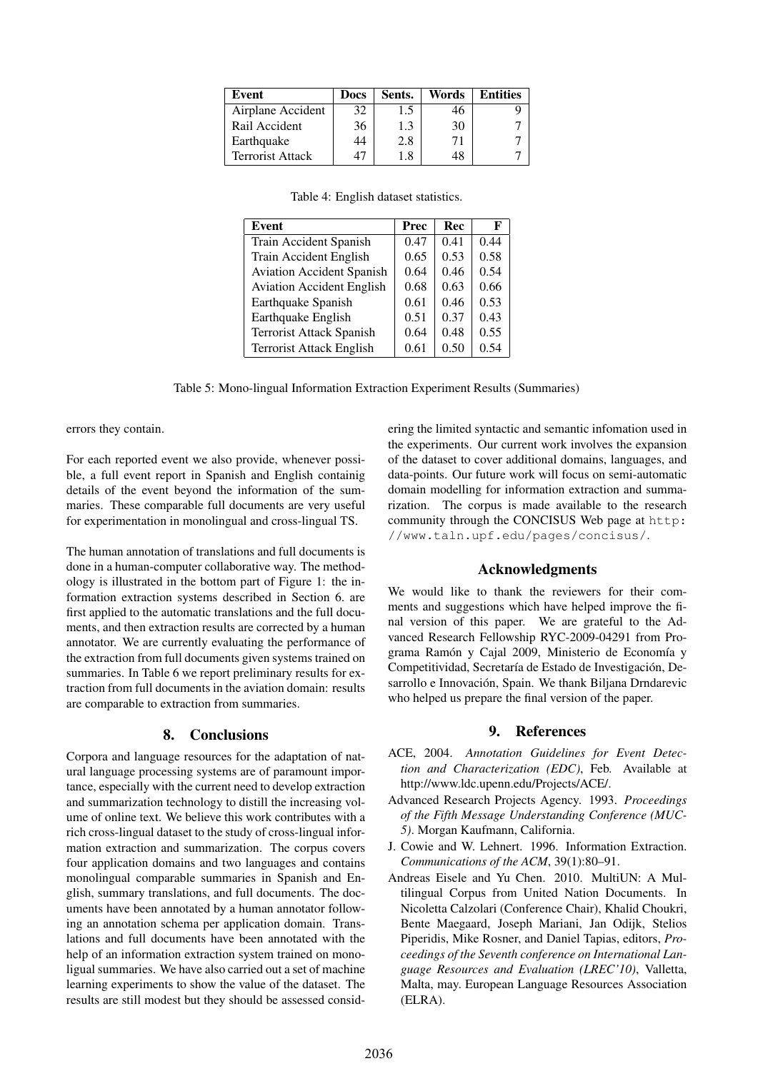| Event                   | <b>Docs</b> | Sents. | Words | <b>Entities</b> |
|-------------------------|-------------|--------|-------|-----------------|
| Airplane Accident       | 32          | 1.5    | 46    |                 |
| Rail Accident           | 36          | 1.3    | 30    |                 |
| Earthquake              | 44          | 2.8    |       |                 |
| <b>Terrorist Attack</b> |             |        |       |                 |

| Table 4: English dataset statistics. |  |  |  |
|--------------------------------------|--|--|--|
|--------------------------------------|--|--|--|

| Event                            | Prec | Rec  | F    |
|----------------------------------|------|------|------|
| Train Accident Spanish           | 0.47 | 0.41 | 0.44 |
| Train Accident English           | 0.65 | 0.53 | 0.58 |
| <b>Aviation Accident Spanish</b> | 0.64 | 0.46 | 0.54 |
| <b>Aviation Accident English</b> | 0.68 | 0.63 | 0.66 |
| Earthquake Spanish               | 0.61 | 0.46 | 0.53 |
| Earthquake English               | 0.51 | 0.37 | 0.43 |
| <b>Terrorist Attack Spanish</b>  | 0.64 | 0.48 | 0.55 |
| <b>Terrorist Attack English</b>  | 0.61 | 0.50 | 0.54 |

Table 5: Mono-lingual Information Extraction Experiment Results (Summaries)

errors they contain.

For each reported event we also provide, whenever possible, a full event report in Spanish and English containig details of the event beyond the information of the summaries. These comparable full documents are very useful for experimentation in monolingual and cross-lingual TS.

The human annotation of translations and full documents is done in a human-computer collaborative way. The methodology is illustrated in the bottom part of Figure 1: the information extraction systems described in Section 6. are first applied to the automatic translations and the full documents, and then extraction results are corrected by a human annotator. We are currently evaluating the performance of the extraction from full documents given systems trained on summaries. In Table 6 we report preliminary results for extraction from full documents in the aviation domain: results are comparable to extraction from summaries.

#### 8. Conclusions

Corpora and language resources for the adaptation of natural language processing systems are of paramount importance, especially with the current need to develop extraction and summarization technology to distill the increasing volume of online text. We believe this work contributes with a rich cross-lingual dataset to the study of cross-lingual information extraction and summarization. The corpus covers four application domains and two languages and contains monolingual comparable summaries in Spanish and English, summary translations, and full documents. The documents have been annotated by a human annotator following an annotation schema per application domain. Translations and full documents have been annotated with the help of an information extraction system trained on monoligual summaries. We have also carried out a set of machine learning experiments to show the value of the dataset. The results are still modest but they should be assessed considering the limited syntactic and semantic infomation used in the experiments. Our current work involves the expansion of the dataset to cover additional domains, languages, and data-points. Our future work will focus on semi-automatic domain modelling for information extraction and summarization. The corpus is made available to the research community through the CONCISUS Web page at http: //www.taln.upf.edu/pages/concisus/.

#### Acknowledgments

We would like to thank the reviewers for their comments and suggestions which have helped improve the final version of this paper. We are grateful to the Advanced Research Fellowship RYC-2009-04291 from Programa Ramón y Cajal 2009, Ministerio de Economía y Competitividad, Secretaría de Estado de Investigación, Desarrollo e Innovación, Spain. We thank Biljana Drndarevic who helped us prepare the final version of the paper.

### 9. References

- ACE, 2004. *Annotation Guidelines for Event Detection and Characterization (EDC)*, Feb. Available at http://www.ldc.upenn.edu/Projects/ACE/.
- Advanced Research Projects Agency. 1993. *Proceedings of the Fifth Message Understanding Conference (MUC-5)*. Morgan Kaufmann, California.
- J. Cowie and W. Lehnert. 1996. Information Extraction. *Communications of the ACM*, 39(1):80–91.
- Andreas Eisele and Yu Chen. 2010. MultiUN: A Multilingual Corpus from United Nation Documents. In Nicoletta Calzolari (Conference Chair), Khalid Choukri, Bente Maegaard, Joseph Mariani, Jan Odijk, Stelios Piperidis, Mike Rosner, and Daniel Tapias, editors, *Proceedings of the Seventh conference on International Language Resources and Evaluation (LREC'10)*, Valletta, Malta, may. European Language Resources Association (ELRA).